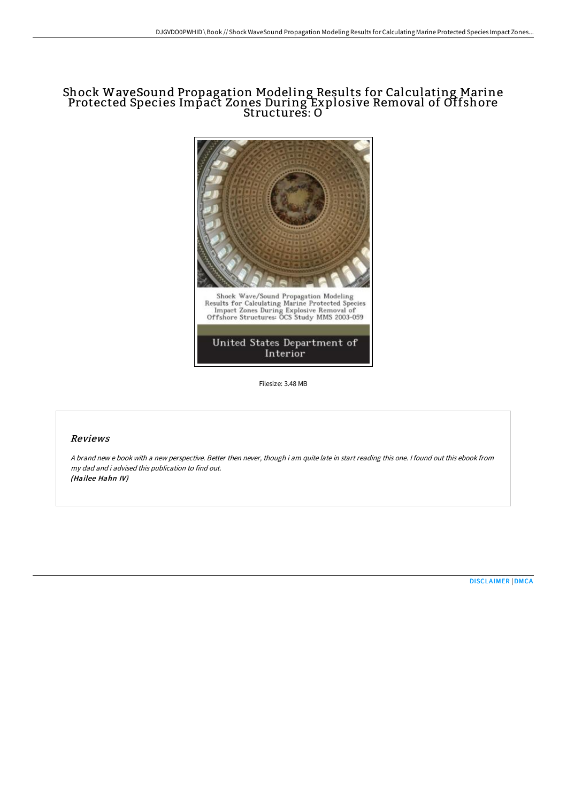# Shock WaveSound Propagation Modeling Results for Calculating Marine Protected Species Impact Zones During Explosive Removal of Offshore Structures: O



Filesize: 3.48 MB

# Reviews

<sup>A</sup> brand new <sup>e</sup> book with <sup>a</sup> new perspective. Better then never, though i am quite late in start reading this one. <sup>I</sup> found out this ebook from my dad and i advised this publication to find out. (Hailee Hahn IV)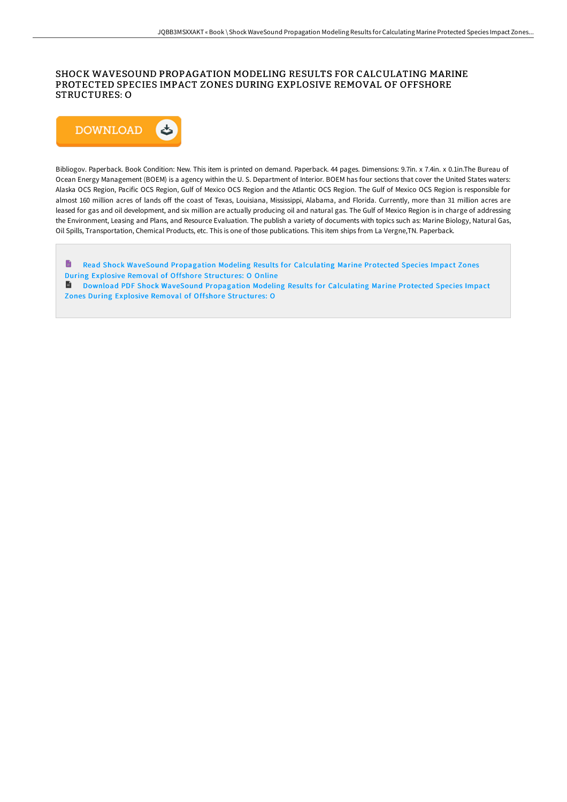## SHOCK WAVESOUND PROPAGATION MODELING RESULTS FOR CALCULATING MARINE PROTECTED SPECIES IMPACT ZONES DURING EXPLOSIVE REMOVAL OF OFFSHORE STRUCTURES: O



Bibliogov. Paperback. Book Condition: New. This item is printed on demand. Paperback. 44 pages. Dimensions: 9.7in. x 7.4in. x 0.1in.The Bureau of Ocean Energy Management (BOEM) is a agency within the U. S. Department of Interior. BOEM has four sections that cover the United States waters: Alaska OCS Region, Pacific OCS Region, Gulf of Mexico OCS Region and the Atlantic OCS Region. The Gulf of Mexico OCS Region is responsible for almost 160 million acres of lands off the coast of Texas, Louisiana, Mississippi, Alabama, and Florida. Currently, more than 31 million acres are leased for gas and oil development, and six million are actually producing oil and natural gas. The Gulf of Mexico Region is in charge of addressing the Environment, Leasing and Plans, and Resource Evaluation. The publish a variety of documents with topics such as: Marine Biology, Natural Gas, Oil Spills, Transportation, Chemical Products, etc. This is one of those publications. This item ships from La Vergne,TN. Paperback.

 $\qquad \qquad \blacksquare$ Read Shock WaveSound [Propagation](http://techno-pub.tech/shock-wavesound-propagation-modeling-results-for.html) Modeling Results for Calculating Marine Protected Species Impact Zones During Explosive Removal of Offshore Structures: O Online

Download PDF Shock WaveSound [Propagation](http://techno-pub.tech/shock-wavesound-propagation-modeling-results-for.html) Modeling Results for Calculating Marine Protected Species Impact Zones During Explosive Removal of Offshore Structures: O